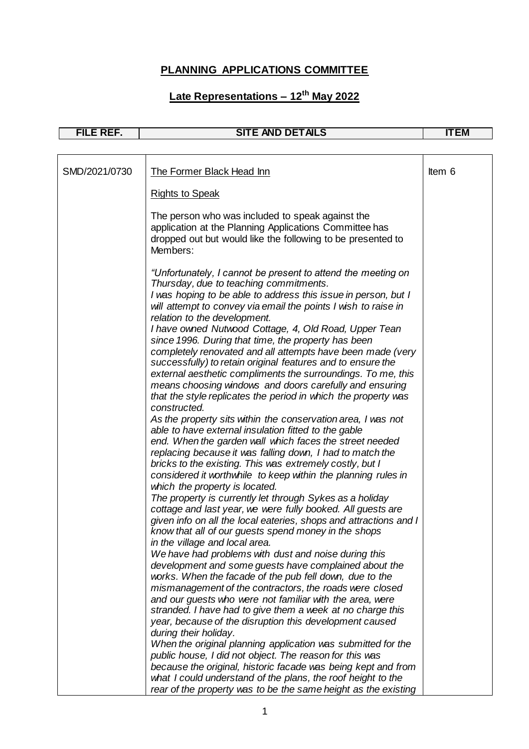| FILE REF.     | <b>SITE AND DETAILS</b>                                                                                                                                                                                                                                                                                                                                                                                                                                                                                                                                                                                                                                                                                                                                                                                                                                                                                                                                                                                                                                                                                                                                                                                                                                                        | <b>ITEM</b> |
|---------------|--------------------------------------------------------------------------------------------------------------------------------------------------------------------------------------------------------------------------------------------------------------------------------------------------------------------------------------------------------------------------------------------------------------------------------------------------------------------------------------------------------------------------------------------------------------------------------------------------------------------------------------------------------------------------------------------------------------------------------------------------------------------------------------------------------------------------------------------------------------------------------------------------------------------------------------------------------------------------------------------------------------------------------------------------------------------------------------------------------------------------------------------------------------------------------------------------------------------------------------------------------------------------------|-------------|
|               |                                                                                                                                                                                                                                                                                                                                                                                                                                                                                                                                                                                                                                                                                                                                                                                                                                                                                                                                                                                                                                                                                                                                                                                                                                                                                |             |
| SMD/2021/0730 | The Former Black Head Inn                                                                                                                                                                                                                                                                                                                                                                                                                                                                                                                                                                                                                                                                                                                                                                                                                                                                                                                                                                                                                                                                                                                                                                                                                                                      | Item 6      |
|               | <b>Rights to Speak</b>                                                                                                                                                                                                                                                                                                                                                                                                                                                                                                                                                                                                                                                                                                                                                                                                                                                                                                                                                                                                                                                                                                                                                                                                                                                         |             |
|               | The person who was included to speak against the<br>application at the Planning Applications Committee has<br>dropped out but would like the following to be presented to<br>Members:                                                                                                                                                                                                                                                                                                                                                                                                                                                                                                                                                                                                                                                                                                                                                                                                                                                                                                                                                                                                                                                                                          |             |
|               | "Unfortunately, I cannot be present to attend the meeting on<br>Thursday, due to teaching commitments.<br>I was hoping to be able to address this issue in person, but I<br>will attempt to convey via email the points I wish to raise in<br>relation to the development.<br>I have owned Nutwood Cottage, 4, Old Road, Upper Tean<br>since 1996. During that time, the property has been<br>completely renovated and all attempts have been made (very<br>successfully) to retain original features and to ensure the<br>external aesthetic compliments the surroundings. To me, this<br>means choosing windows and doors carefully and ensuring<br>that the style replicates the period in which the property was<br>constructed.<br>As the property sits within the conservation area, I was not<br>able to have external insulation fitted to the gable<br>end. When the garden wall which faces the street needed<br>replacing because it was falling down, I had to match the<br>bricks to the existing. This was extremely costly, but I<br>considered it worthwhile to keep within the planning rules in<br>which the property is located.<br>The property is currently let through Sykes as a holiday<br>cottage and last year, we were fully booked. All guests are |             |
|               | given info on all the local eateries, shops and attractions and I<br>know that all of our guests spend money in the shops<br>in the village and local area.<br>We have had problems with dust and noise during this<br>development and some guests have complained about the<br>works. When the facade of the pub fell down, due to the<br>mismanagement of the contractors, the roads were closed<br>and our guests who were not familiar with the area, were<br>stranded. I have had to give them a week at no charge this<br>year, because of the disruption this development caused<br>during their holiday.<br>When the original planning application was submitted for the<br>public house, I did not object. The reason for this was<br>because the original, historic facade was being kept and from<br>what I could understand of the plans, the roof height to the<br>rear of the property was to be the same height as the existing                                                                                                                                                                                                                                                                                                                                 |             |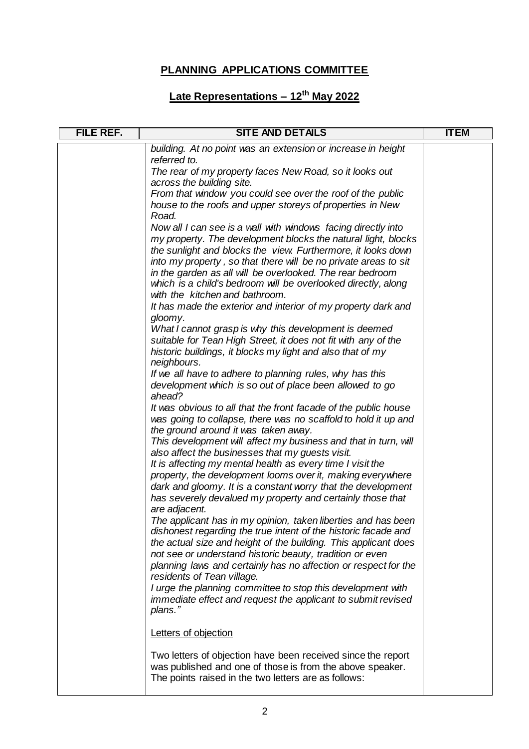| FILE REF. | <b>SITE AND DETAILS</b>                                                                                                    | <b>ITEM</b> |
|-----------|----------------------------------------------------------------------------------------------------------------------------|-------------|
|           | building. At no point was an extension or increase in height                                                               |             |
|           | referred to.<br>The rear of my property faces New Road, so it looks out                                                    |             |
|           | across the building site.                                                                                                  |             |
|           | From that window you could see over the roof of the public                                                                 |             |
|           | house to the roofs and upper storeys of properties in New                                                                  |             |
|           | Road.<br>Now all I can see is a wall with windows facing directly into                                                     |             |
|           | my property. The development blocks the natural light, blocks                                                              |             |
|           | the sunlight and blocks the view. Furthermore, it looks down                                                               |             |
|           | into my property, so that there will be no private areas to sit                                                            |             |
|           | in the garden as all will be overlooked. The rear bedroom<br>which is a child's bedroom will be overlooked directly, along |             |
|           | with the kitchen and bathroom.                                                                                             |             |
|           | It has made the exterior and interior of my property dark and                                                              |             |
|           | gloomy.                                                                                                                    |             |
|           | What I cannot grasp is why this development is deemed<br>suitable for Tean High Street, it does not fit with any of the    |             |
|           | historic buildings, it blocks my light and also that of my                                                                 |             |
|           | neighbours.                                                                                                                |             |
|           | If we all have to adhere to planning rules, why has this                                                                   |             |
|           | development which is so out of place been allowed to go<br>ahead?                                                          |             |
|           | It was obvious to all that the front facade of the public house                                                            |             |
|           | was going to collapse, there was no scaffold to hold it up and                                                             |             |
|           | the ground around it was taken away.                                                                                       |             |
|           | This development will affect my business and that in turn, will<br>also affect the businesses that my guests visit.        |             |
|           | It is affecting my mental health as every time I visit the                                                                 |             |
|           | property, the development looms over it, making everywhere                                                                 |             |
|           | dark and gloomy. It is a constant worry that the development                                                               |             |
|           | has severely devalued my property and certainly those that                                                                 |             |
|           | are adjacent.<br>The applicant has in my opinion, taken liberties and has been                                             |             |
|           | dishonest regarding the true intent of the historic facade and                                                             |             |
|           | the actual size and height of the building. This applicant does                                                            |             |
|           | not see or understand historic beauty, tradition or even                                                                   |             |
|           | planning laws and certainly has no affection or respect for the<br>residents of Tean village.                              |             |
|           | I urge the planning committee to stop this development with                                                                |             |
|           | immediate effect and request the applicant to submit revised                                                               |             |
|           | plans."                                                                                                                    |             |
|           | Letters of objection                                                                                                       |             |
|           | Two letters of objection have been received since the report                                                               |             |
|           | was published and one of those is from the above speaker.<br>The points raised in the two letters are as follows:          |             |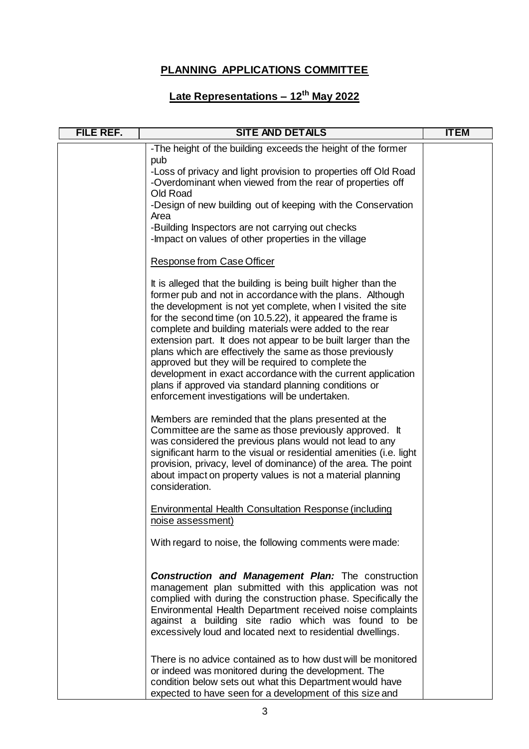| FILE REF. | <b>SITE AND DETAILS</b>                                                                                                                                                                                                                                                                                                                                                                                                                                                                                                                                                                                                                                                            | <b>ITEM</b> |
|-----------|------------------------------------------------------------------------------------------------------------------------------------------------------------------------------------------------------------------------------------------------------------------------------------------------------------------------------------------------------------------------------------------------------------------------------------------------------------------------------------------------------------------------------------------------------------------------------------------------------------------------------------------------------------------------------------|-------------|
|           | -The height of the building exceeds the height of the former                                                                                                                                                                                                                                                                                                                                                                                                                                                                                                                                                                                                                       |             |
|           | pub<br>-Loss of privacy and light provision to properties off Old Road<br>-Overdominant when viewed from the rear of properties off<br>Old Road                                                                                                                                                                                                                                                                                                                                                                                                                                                                                                                                    |             |
|           | -Design of new building out of keeping with the Conservation<br>Area                                                                                                                                                                                                                                                                                                                                                                                                                                                                                                                                                                                                               |             |
|           | -Building Inspectors are not carrying out checks<br>-Impact on values of other properties in the village                                                                                                                                                                                                                                                                                                                                                                                                                                                                                                                                                                           |             |
|           | <b>Response from Case Officer</b>                                                                                                                                                                                                                                                                                                                                                                                                                                                                                                                                                                                                                                                  |             |
|           | It is alleged that the building is being built higher than the<br>former pub and not in accordance with the plans. Although<br>the development is not yet complete, when I visited the site<br>for the second time (on 10.5.22), it appeared the frame is<br>complete and building materials were added to the rear<br>extension part. It does not appear to be built larger than the<br>plans which are effectively the same as those previously<br>approved but they will be required to complete the<br>development in exact accordance with the current application<br>plans if approved via standard planning conditions or<br>enforcement investigations will be undertaken. |             |
|           | Members are reminded that the plans presented at the<br>Committee are the same as those previously approved. It<br>was considered the previous plans would not lead to any<br>significant harm to the visual or residential amenities (i.e. light<br>provision, privacy, level of dominance) of the area. The point<br>about impact on property values is not a material planning<br>consideration.                                                                                                                                                                                                                                                                                |             |
|           | Environmental Health Consultation Response (including<br>noise assessment)                                                                                                                                                                                                                                                                                                                                                                                                                                                                                                                                                                                                         |             |
|           | With regard to noise, the following comments were made:                                                                                                                                                                                                                                                                                                                                                                                                                                                                                                                                                                                                                            |             |
|           | <b>Construction and Management Plan:</b> The construction<br>management plan submitted with this application was not<br>complied with during the construction phase. Specifically the<br>Environmental Health Department received noise complaints<br>against a building site radio which was found to be<br>excessively loud and located next to residential dwellings.                                                                                                                                                                                                                                                                                                           |             |
|           | There is no advice contained as to how dust will be monitored<br>or indeed was monitored during the development. The<br>condition below sets out what this Department would have<br>expected to have seen for a development of this size and                                                                                                                                                                                                                                                                                                                                                                                                                                       |             |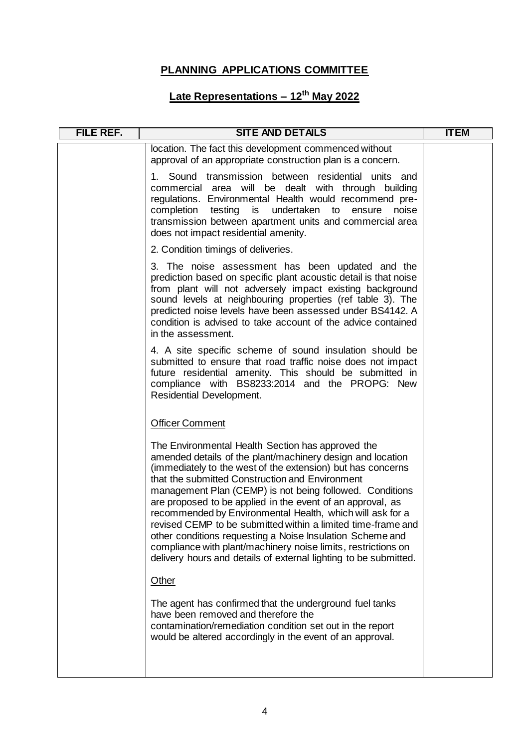| location. The fact this development commenced without<br>approval of an appropriate construction plan is a concern.<br>Sound transmission between residential units and<br>1.<br>commercial area will be dealt with through building<br>regulations. Environmental Health would recommend pre-                                                                                                                                                                                                                                                                                                                                                                                             |  |
|--------------------------------------------------------------------------------------------------------------------------------------------------------------------------------------------------------------------------------------------------------------------------------------------------------------------------------------------------------------------------------------------------------------------------------------------------------------------------------------------------------------------------------------------------------------------------------------------------------------------------------------------------------------------------------------------|--|
|                                                                                                                                                                                                                                                                                                                                                                                                                                                                                                                                                                                                                                                                                            |  |
| testing is<br>completion<br>undertaken to<br>noise<br>ensure<br>transmission between apartment units and commercial area<br>does not impact residential amenity.                                                                                                                                                                                                                                                                                                                                                                                                                                                                                                                           |  |
| 2. Condition timings of deliveries.                                                                                                                                                                                                                                                                                                                                                                                                                                                                                                                                                                                                                                                        |  |
| 3. The noise assessment has been updated and the<br>prediction based on specific plant acoustic detail is that noise<br>from plant will not adversely impact existing background<br>sound levels at neighbouring properties (ref table 3). The<br>predicted noise levels have been assessed under BS4142. A<br>condition is advised to take account of the advice contained<br>in the assessment.                                                                                                                                                                                                                                                                                          |  |
| 4. A site specific scheme of sound insulation should be<br>submitted to ensure that road traffic noise does not impact<br>future residential amenity. This should be submitted in<br>compliance with BS8233:2014 and the PROPG: New<br>Residential Development.                                                                                                                                                                                                                                                                                                                                                                                                                            |  |
| <b>Officer Comment</b>                                                                                                                                                                                                                                                                                                                                                                                                                                                                                                                                                                                                                                                                     |  |
| The Environmental Health Section has approved the<br>amended details of the plant/machinery design and location<br>(immediately to the west of the extension) but has concerns<br>that the submitted Construction and Environment<br>management Plan (CEMP) is not being followed. Conditions<br>are proposed to be applied in the event of an approval, as<br>recommended by Environmental Health, which will ask for a<br>revised CEMP to be submitted within a limited time-frame and<br>other conditions requesting a Noise Insulation Scheme and<br>compliance with plant/machinery noise limits, restrictions on<br>delivery hours and details of external lighting to be submitted. |  |
| Other                                                                                                                                                                                                                                                                                                                                                                                                                                                                                                                                                                                                                                                                                      |  |
| The agent has confirmed that the underground fuel tanks<br>have been removed and therefore the<br>contamination/remediation condition set out in the report<br>would be altered accordingly in the event of an approval.                                                                                                                                                                                                                                                                                                                                                                                                                                                                   |  |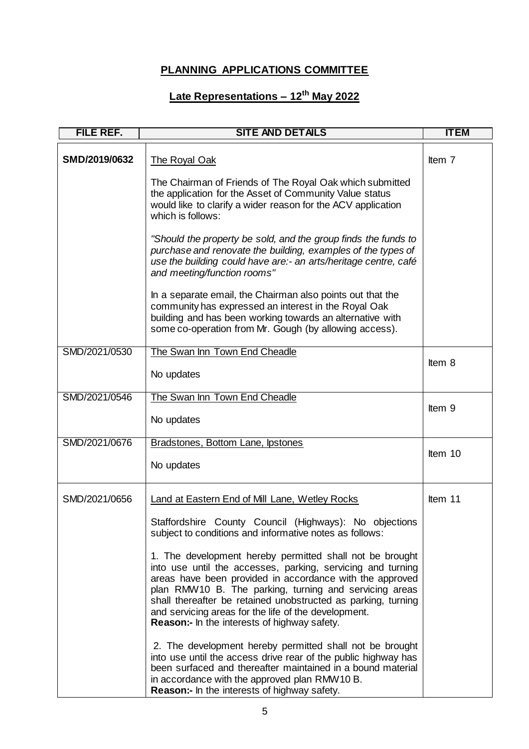| <b>FILE REF.</b> | <b>SITE AND DETAILS</b>                                                                                                                                                                                                                                                                                                                                                                                                       | <b>ITEM</b> |
|------------------|-------------------------------------------------------------------------------------------------------------------------------------------------------------------------------------------------------------------------------------------------------------------------------------------------------------------------------------------------------------------------------------------------------------------------------|-------------|
| SMD/2019/0632    | The Royal Oak                                                                                                                                                                                                                                                                                                                                                                                                                 | Item 7      |
|                  | The Chairman of Friends of The Royal Oak which submitted<br>the application for the Asset of Community Value status<br>would like to clarify a wider reason for the ACV application<br>which is follows:                                                                                                                                                                                                                      |             |
|                  | "Should the property be sold, and the group finds the funds to<br>purchase and renovate the building, examples of the types of<br>use the building could have are:- an arts/heritage centre, café<br>and meeting/function rooms"                                                                                                                                                                                              |             |
|                  | In a separate email, the Chairman also points out that the<br>community has expressed an interest in the Royal Oak<br>building and has been working towards an alternative with<br>some co-operation from Mr. Gough (by allowing access).                                                                                                                                                                                     |             |
| SMD/2021/0530    | The Swan Inn Town End Cheadle                                                                                                                                                                                                                                                                                                                                                                                                 |             |
|                  | No updates                                                                                                                                                                                                                                                                                                                                                                                                                    | Item 8      |
| SMD/2021/0546    | The Swan Inn Town End Cheadle                                                                                                                                                                                                                                                                                                                                                                                                 | Item 9      |
|                  | No updates                                                                                                                                                                                                                                                                                                                                                                                                                    |             |
| SMD/2021/0676    | Bradstones, Bottom Lane, Ipstones                                                                                                                                                                                                                                                                                                                                                                                             | Item 10     |
|                  | No updates                                                                                                                                                                                                                                                                                                                                                                                                                    |             |
| SMD/2021/0656    | Land at Eastern End of Mill Lane, Wetley Rocks                                                                                                                                                                                                                                                                                                                                                                                | Item 11     |
|                  | Staffordshire County Council (Highways): No objections<br>subject to conditions and informative notes as follows:                                                                                                                                                                                                                                                                                                             |             |
|                  | 1. The development hereby permitted shall not be brought<br>into use until the accesses, parking, servicing and turning<br>areas have been provided in accordance with the approved<br>plan RMW10 B. The parking, turning and servicing areas<br>shall thereafter be retained unobstructed as parking, turning<br>and servicing areas for the life of the development.<br><b>Reason:-</b> In the interests of highway safety. |             |
|                  | 2. The development hereby permitted shall not be brought<br>into use until the access drive rear of the public highway has<br>been surfaced and thereafter maintained in a bound material<br>in accordance with the approved plan RMW10 B.<br><b>Reason:-</b> In the interests of highway safety.                                                                                                                             |             |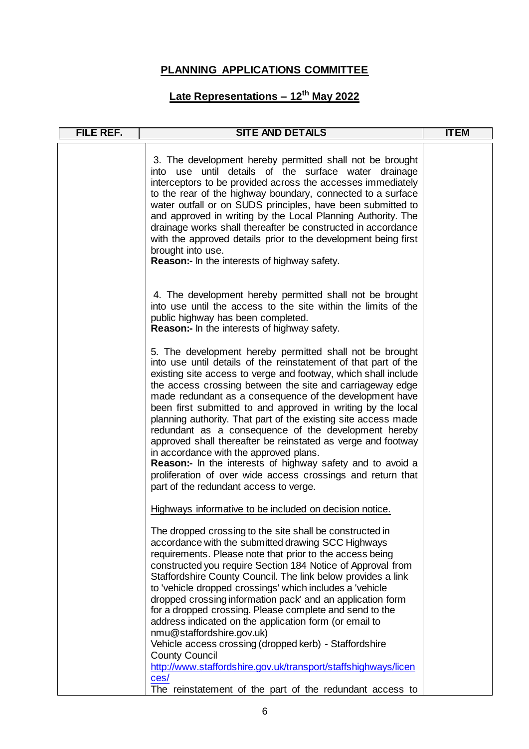| <b>FILE REF.</b> | <b>SITE AND DETAILS</b>                                                                                                                                                                                                                                                                                                                                                                                                                                                                                                                                                                                                                                                                                                                                                                                 | <b>ITEM</b> |
|------------------|---------------------------------------------------------------------------------------------------------------------------------------------------------------------------------------------------------------------------------------------------------------------------------------------------------------------------------------------------------------------------------------------------------------------------------------------------------------------------------------------------------------------------------------------------------------------------------------------------------------------------------------------------------------------------------------------------------------------------------------------------------------------------------------------------------|-------------|
|                  | 3. The development hereby permitted shall not be brought<br>into use until details of the surface water drainage<br>interceptors to be provided across the accesses immediately<br>to the rear of the highway boundary, connected to a surface<br>water outfall or on SUDS principles, have been submitted to<br>and approved in writing by the Local Planning Authority. The<br>drainage works shall thereafter be constructed in accordance<br>with the approved details prior to the development being first<br>brought into use.<br>Reason:- In the interests of highway safety.                                                                                                                                                                                                                    |             |
|                  | 4. The development hereby permitted shall not be brought<br>into use until the access to the site within the limits of the<br>public highway has been completed.<br>Reason:- In the interests of highway safety.                                                                                                                                                                                                                                                                                                                                                                                                                                                                                                                                                                                        |             |
|                  | 5. The development hereby permitted shall not be brought<br>into use until details of the reinstatement of that part of the<br>existing site access to verge and footway, which shall include<br>the access crossing between the site and carriageway edge<br>made redundant as a consequence of the development have<br>been first submitted to and approved in writing by the local<br>planning authority. That part of the existing site access made<br>redundant as a consequence of the development hereby<br>approved shall thereafter be reinstated as verge and footway<br>in accordance with the approved plans.<br><b>Reason:-</b> In the interests of highway safety and to avoid a<br>proliferation of over wide access crossings and return that<br>part of the redundant access to verge. |             |
|                  | Highways informative to be included on decision notice.<br>The dropped crossing to the site shall be constructed in<br>accordance with the submitted drawing SCC Highways<br>requirements. Please note that prior to the access being<br>constructed you require Section 184 Notice of Approval from<br>Staffordshire County Council. The link below provides a link<br>to 'vehicle dropped crossings' which includes a 'vehicle<br>dropped crossing information pack' and an application form<br>for a dropped crossing. Please complete and send to the<br>address indicated on the application form (or email to<br>nmu@staffordshire.gov.uk)<br>Vehicle access crossing (dropped kerb) - Staffordshire<br><b>County Council</b><br>http://www.staffordshire.gov.uk/transport/staffshighways/licen   |             |
|                  | ces/<br>The reinstatement of the part of the redundant access to                                                                                                                                                                                                                                                                                                                                                                                                                                                                                                                                                                                                                                                                                                                                        |             |